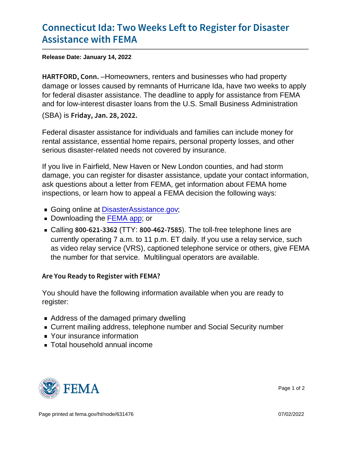## [Connecticut Ida: Two Weeks Left](https://www.fema.gov/press-release/20220114/connecticut-ida-two-weeks-left-register-disaster-assistance-fema) to Regis [Assistance w](https://www.fema.gov/press-release/20220114/connecticut-ida-two-weeks-left-register-disaster-assistance-fema)ith FEMA

Release Date: January 14, 2022

H A R T F O R D,  $-H$ **C** meters, renters and businesses who had property damage or losses caused by remnants of Hurricane Ida, have two weeks to apply for federal disaster assistance. The deadline to apply for assistance from FEMA and for low-interest disaster loans from the U.S. Small Business Administration (SBA) is Friday, Jan. 28, 2022.

Federal disaster assistance for individuals and families can include money for rental assistance, essential home repairs, personal property losses, and other serious disaster-related needs not covered by insurance.

If you live in Fairfield, New Haven or New London counties, and had storm damage, you can register for disaster assistance, update your contact information, ask questions about a letter from FEMA, get information about FEMA home inspections, or learn how to appeal a FEMA decision the following ways:

- Going online at [DisasterAssistance.gov](https://www.disasterassistance.gov/);
- Downloading the [FEMA app](https://www.fema.gov/about/news-multimedia/mobile-app-text-messages); or
- Calling 800-621 (BT3 6 800-462). The Stoll-free telephone lines are currently operating 7 a.m. to 11 p.m. ET daily. If you use a relay service, such as video relay service (VRS), captioned telephone service or others, give FEMA the number for that service. Multilingual operators are available.

Are You Ready to Register with FEMA?

You should have the following information available when you are ready to register:

- Address of the damaged primary dwelling
- Current mailing address, telephone number and Social Security number
- **Nour insurance information**
- Total household annual income



Page 1 of 2